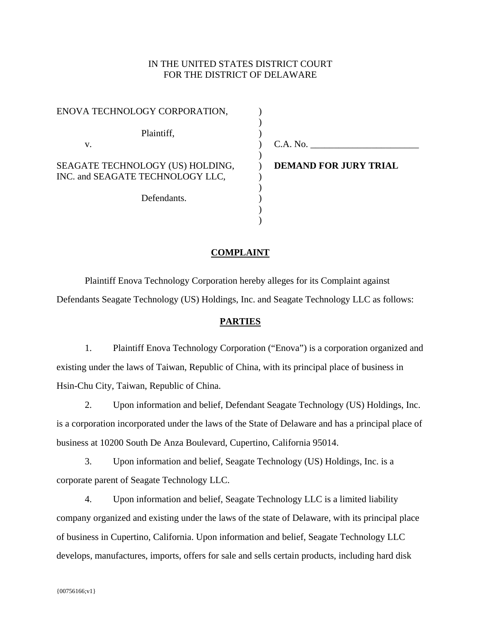# IN THE UNITED STATES DISTRICT COURT FOR THE DISTRICT OF DELAWARE

| ENOVA TECHNOLOGY CORPORATION,                                        |                              |
|----------------------------------------------------------------------|------------------------------|
| Plaintiff,                                                           |                              |
| v.                                                                   | C.A. No.                     |
| SEAGATE TECHNOLOGY (US) HOLDING,<br>INC. and SEAGATE TECHNOLOGY LLC, | <b>DEMAND FOR JURY TRIAL</b> |
| Defendants.                                                          |                              |
|                                                                      |                              |

## **COMPLAINT**

)

Plaintiff Enova Technology Corporation hereby alleges for its Complaint against Defendants Seagate Technology (US) Holdings, Inc. and Seagate Technology LLC as follows:

### **PARTIES**

1. Plaintiff Enova Technology Corporation ("Enova") is a corporation organized and existing under the laws of Taiwan, Republic of China, with its principal place of business in Hsin-Chu City, Taiwan, Republic of China.

2. Upon information and belief, Defendant Seagate Technology (US) Holdings, Inc. is a corporation incorporated under the laws of the State of Delaware and has a principal place of business at 10200 South De Anza Boulevard, Cupertino, California 95014.

3. Upon information and belief, Seagate Technology (US) Holdings, Inc. is a corporate parent of Seagate Technology LLC.

4. Upon information and belief, Seagate Technology LLC is a limited liability company organized and existing under the laws of the state of Delaware, with its principal place of business in Cupertino, California. Upon information and belief, Seagate Technology LLC develops, manufactures, imports, offers for sale and sells certain products, including hard disk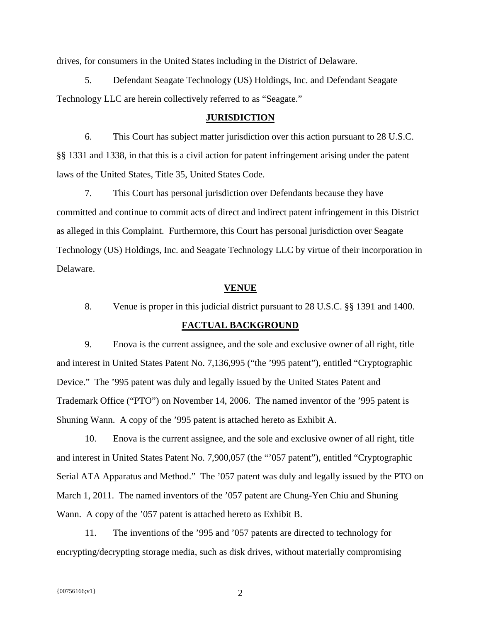drives, for consumers in the United States including in the District of Delaware.

5. Defendant Seagate Technology (US) Holdings, Inc. and Defendant Seagate Technology LLC are herein collectively referred to as "Seagate."

#### **JURISDICTION**

6. This Court has subject matter jurisdiction over this action pursuant to 28 U.S.C. §§ 1331 and 1338, in that this is a civil action for patent infringement arising under the patent laws of the United States, Title 35, United States Code.

7. This Court has personal jurisdiction over Defendants because they have committed and continue to commit acts of direct and indirect patent infringement in this District as alleged in this Complaint. Furthermore, this Court has personal jurisdiction over Seagate Technology (US) Holdings, Inc. and Seagate Technology LLC by virtue of their incorporation in Delaware.

### **VENUE**

8. Venue is proper in this judicial district pursuant to 28 U.S.C. §§ 1391 and 1400.

# **FACTUAL BACKGROUND**

9. Enova is the current assignee, and the sole and exclusive owner of all right, title and interest in United States Patent No. 7,136,995 ("the '995 patent"), entitled "Cryptographic Device." The '995 patent was duly and legally issued by the United States Patent and Trademark Office ("PTO") on November 14, 2006. The named inventor of the '995 patent is Shuning Wann. A copy of the '995 patent is attached hereto as Exhibit A.

10. Enova is the current assignee, and the sole and exclusive owner of all right, title and interest in United States Patent No. 7,900,057 (the "'057 patent"), entitled "Cryptographic Serial ATA Apparatus and Method." The '057 patent was duly and legally issued by the PTO on March 1, 2011. The named inventors of the '057 patent are Chung-Yen Chiu and Shuning Wann. A copy of the '057 patent is attached hereto as Exhibit B.

11. The inventions of the '995 and '057 patents are directed to technology for encrypting/decrypting storage media, such as disk drives, without materially compromising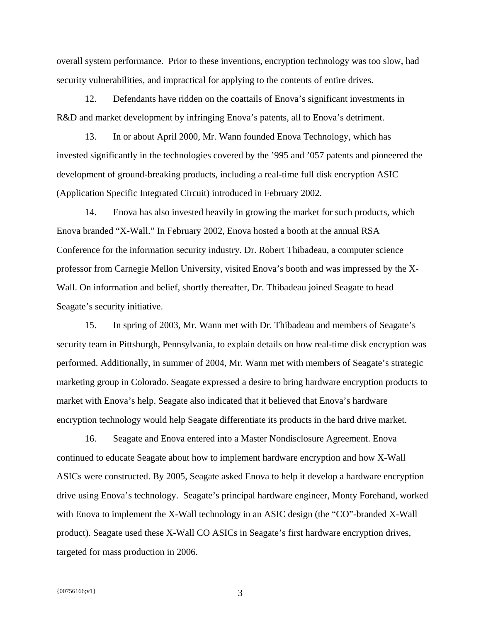overall system performance. Prior to these inventions, encryption technology was too slow, had security vulnerabilities, and impractical for applying to the contents of entire drives.

12. Defendants have ridden on the coattails of Enova's significant investments in R&D and market development by infringing Enova's patents, all to Enova's detriment.

13. In or about April 2000, Mr. Wann founded Enova Technology, which has invested significantly in the technologies covered by the '995 and '057 patents and pioneered the development of ground-breaking products, including a real-time full disk encryption ASIC (Application Specific Integrated Circuit) introduced in February 2002.

14. Enova has also invested heavily in growing the market for such products, which Enova branded "X-Wall." In February 2002, Enova hosted a booth at the annual RSA Conference for the information security industry. Dr. Robert Thibadeau, a computer science professor from Carnegie Mellon University, visited Enova's booth and was impressed by the X-Wall. On information and belief, shortly thereafter, Dr. Thibadeau joined Seagate to head Seagate's security initiative.

15. In spring of 2003, Mr. Wann met with Dr. Thibadeau and members of Seagate's security team in Pittsburgh, Pennsylvania, to explain details on how real-time disk encryption was performed. Additionally, in summer of 2004, Mr. Wann met with members of Seagate's strategic marketing group in Colorado. Seagate expressed a desire to bring hardware encryption products to market with Enova's help. Seagate also indicated that it believed that Enova's hardware encryption technology would help Seagate differentiate its products in the hard drive market.

16. Seagate and Enova entered into a Master Nondisclosure Agreement. Enova continued to educate Seagate about how to implement hardware encryption and how X-Wall ASICs were constructed. By 2005, Seagate asked Enova to help it develop a hardware encryption drive using Enova's technology. Seagate's principal hardware engineer, Monty Forehand, worked with Enova to implement the X-Wall technology in an ASIC design (the "CO"-branded X-Wall product). Seagate used these X-Wall CO ASICs in Seagate's first hardware encryption drives, targeted for mass production in 2006.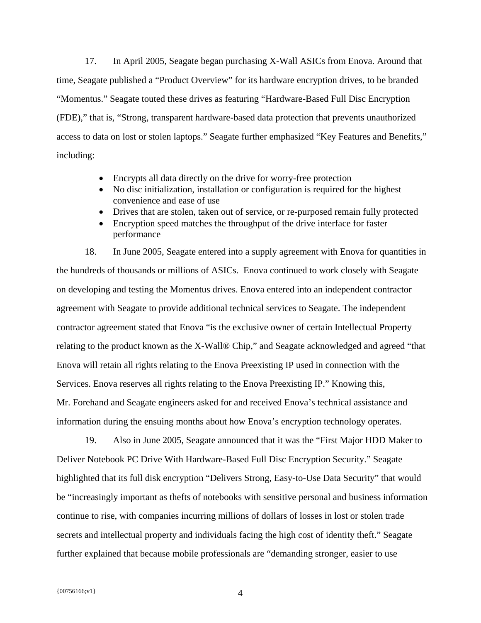17. In April 2005, Seagate began purchasing X-Wall ASICs from Enova. Around that time, Seagate published a "Product Overview" for its hardware encryption drives, to be branded "Momentus." Seagate touted these drives as featuring "Hardware-Based Full Disc Encryption (FDE)," that is, "Strong, transparent hardware-based data protection that prevents unauthorized access to data on lost or stolen laptops." Seagate further emphasized "Key Features and Benefits," including:

- Encrypts all data directly on the drive for worry-free protection
- No disc initialization, installation or configuration is required for the highest convenience and ease of use
- Drives that are stolen, taken out of service, or re-purposed remain fully protected
- Encryption speed matches the throughput of the drive interface for faster performance

18. In June 2005, Seagate entered into a supply agreement with Enova for quantities in the hundreds of thousands or millions of ASICs. Enova continued to work closely with Seagate on developing and testing the Momentus drives. Enova entered into an independent contractor agreement with Seagate to provide additional technical services to Seagate. The independent contractor agreement stated that Enova "is the exclusive owner of certain Intellectual Property relating to the product known as the X-Wall® Chip," and Seagate acknowledged and agreed "that Enova will retain all rights relating to the Enova Preexisting IP used in connection with the Services. Enova reserves all rights relating to the Enova Preexisting IP." Knowing this, Mr. Forehand and Seagate engineers asked for and received Enova's technical assistance and information during the ensuing months about how Enova's encryption technology operates.

19. Also in June 2005, Seagate announced that it was the "First Major HDD Maker to Deliver Notebook PC Drive With Hardware-Based Full Disc Encryption Security." Seagate highlighted that its full disk encryption "Delivers Strong, Easy-to-Use Data Security" that would be "increasingly important as thefts of notebooks with sensitive personal and business information continue to rise, with companies incurring millions of dollars of losses in lost or stolen trade secrets and intellectual property and individuals facing the high cost of identity theft." Seagate further explained that because mobile professionals are "demanding stronger, easier to use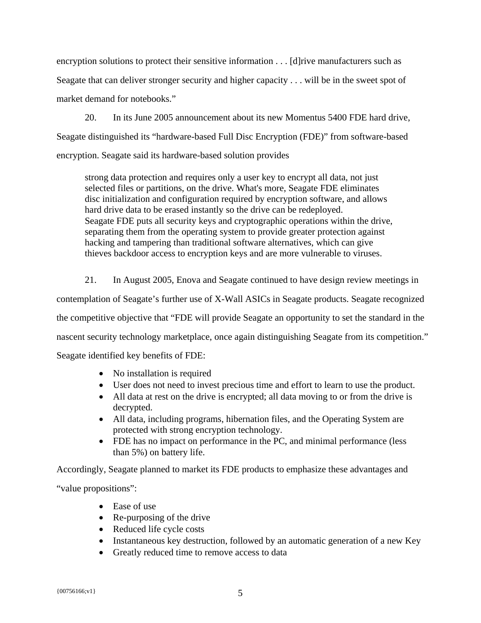encryption solutions to protect their sensitive information . . . [d]rive manufacturers such as Seagate that can deliver stronger security and higher capacity . . . will be in the sweet spot of market demand for notebooks."

20. In its June 2005 announcement about its new Momentus 5400 FDE hard drive, Seagate distinguished its "hardware-based Full Disc Encryption (FDE)" from software-based encryption. Seagate said its hardware-based solution provides

strong data protection and requires only a user key to encrypt all data, not just selected files or partitions, on the drive. What's more, Seagate FDE eliminates disc initialization and configuration required by encryption software, and allows hard drive data to be erased instantly so the drive can be redeployed. Seagate FDE puts all security keys and cryptographic operations within the drive, separating them from the operating system to provide greater protection against hacking and tampering than traditional software alternatives, which can give thieves backdoor access to encryption keys and are more vulnerable to viruses.

21. In August 2005, Enova and Seagate continued to have design review meetings in contemplation of Seagate's further use of X-Wall ASICs in Seagate products. Seagate recognized the competitive objective that "FDE will provide Seagate an opportunity to set the standard in the nascent security technology marketplace, once again distinguishing Seagate from its competition." Seagate identified key benefits of FDE:

- No installation is required
- User does not need to invest precious time and effort to learn to use the product.
- All data at rest on the drive is encrypted; all data moving to or from the drive is decrypted.
- All data, including programs, hibernation files, and the Operating System are protected with strong encryption technology.
- FDE has no impact on performance in the PC, and minimal performance (less than 5%) on battery life.

Accordingly, Seagate planned to market its FDE products to emphasize these advantages and

"value propositions":

- Ease of use
- Re-purposing of the drive
- Reduced life cycle costs
- Instantaneous key destruction, followed by an automatic generation of a new Key
- Greatly reduced time to remove access to data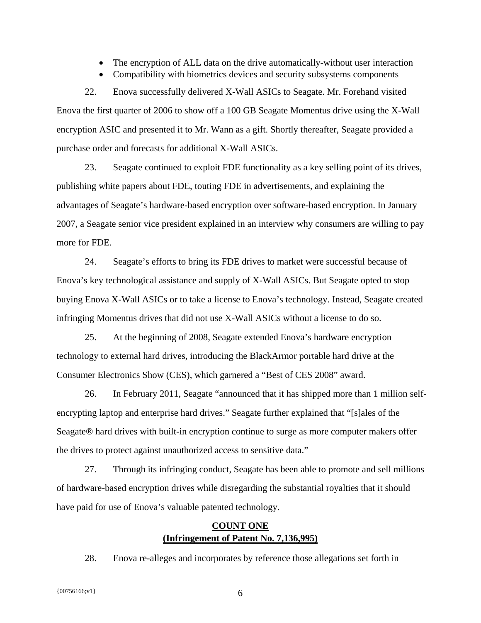- The encryption of ALL data on the drive automatically-without user interaction
- Compatibility with biometrics devices and security subsystems components

22. Enova successfully delivered X-Wall ASICs to Seagate. Mr. Forehand visited Enova the first quarter of 2006 to show off a 100 GB Seagate Momentus drive using the X-Wall encryption ASIC and presented it to Mr. Wann as a gift. Shortly thereafter, Seagate provided a purchase order and forecasts for additional X-Wall ASICs.

23. Seagate continued to exploit FDE functionality as a key selling point of its drives, publishing white papers about FDE, touting FDE in advertisements, and explaining the advantages of Seagate's hardware-based encryption over software-based encryption. In January 2007, a Seagate senior vice president explained in an interview why consumers are willing to pay more for FDE.

24. Seagate's efforts to bring its FDE drives to market were successful because of Enova's key technological assistance and supply of X-Wall ASICs. But Seagate opted to stop buying Enova X-Wall ASICs or to take a license to Enova's technology. Instead, Seagate created infringing Momentus drives that did not use X-Wall ASICs without a license to do so.

25. At the beginning of 2008, Seagate extended Enova's hardware encryption technology to external hard drives, introducing the BlackArmor portable hard drive at the Consumer Electronics Show (CES), which garnered a "Best of CES 2008" award.

26. In February 2011, Seagate "announced that it has shipped more than 1 million selfencrypting laptop and enterprise hard drives." Seagate further explained that "[s]ales of the Seagate® hard drives with built-in encryption continue to surge as more computer makers offer the drives to protect against unauthorized access to sensitive data."

27. Through its infringing conduct, Seagate has been able to promote and sell millions of hardware-based encryption drives while disregarding the substantial royalties that it should have paid for use of Enova's valuable patented technology.

# **COUNT ONE (Infringement of Patent No. 7,136,995)**

28. Enova re-alleges and incorporates by reference those allegations set forth in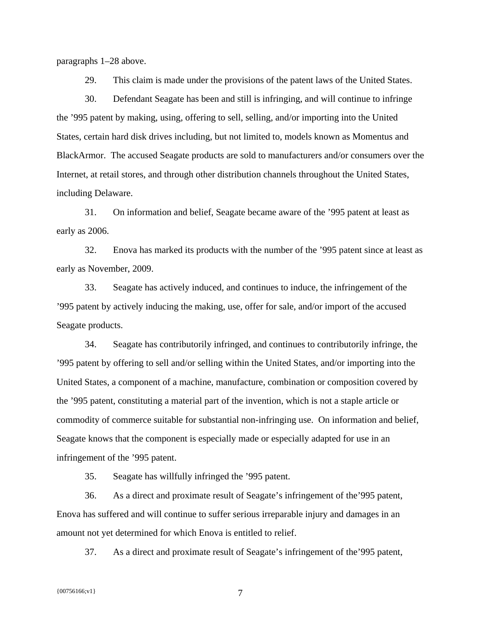paragraphs 1–28 above.

29. This claim is made under the provisions of the patent laws of the United States.

30. Defendant Seagate has been and still is infringing, and will continue to infringe the '995 patent by making, using, offering to sell, selling, and/or importing into the United States, certain hard disk drives including, but not limited to, models known as Momentus and BlackArmor. The accused Seagate products are sold to manufacturers and/or consumers over the Internet, at retail stores, and through other distribution channels throughout the United States, including Delaware.

31. On information and belief, Seagate became aware of the '995 patent at least as early as 2006.

32. Enova has marked its products with the number of the '995 patent since at least as early as November, 2009.

33. Seagate has actively induced, and continues to induce, the infringement of the '995 patent by actively inducing the making, use, offer for sale, and/or import of the accused Seagate products.

34. Seagate has contributorily infringed, and continues to contributorily infringe, the '995 patent by offering to sell and/or selling within the United States, and/or importing into the United States, a component of a machine, manufacture, combination or composition covered by the '995 patent, constituting a material part of the invention, which is not a staple article or commodity of commerce suitable for substantial non-infringing use. On information and belief, Seagate knows that the component is especially made or especially adapted for use in an infringement of the '995 patent.

35. Seagate has willfully infringed the '995 patent.

36. As a direct and proximate result of Seagate's infringement of the'995 patent, Enova has suffered and will continue to suffer serious irreparable injury and damages in an amount not yet determined for which Enova is entitled to relief.

37. As a direct and proximate result of Seagate's infringement of the'995 patent,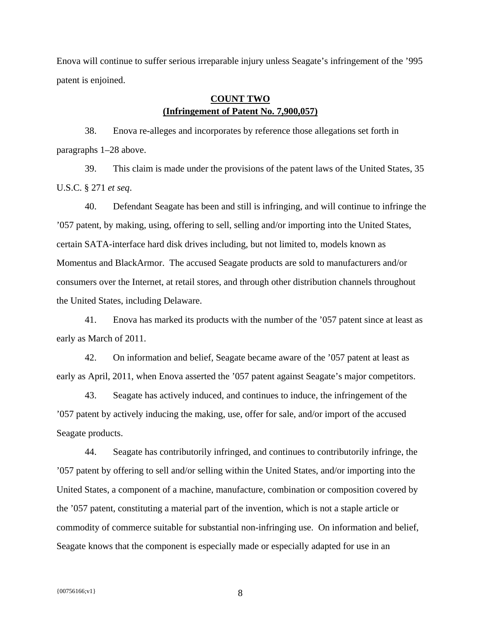Enova will continue to suffer serious irreparable injury unless Seagate's infringement of the '995 patent is enjoined.

# **COUNT TWO (Infringement of Patent No. 7,900,057)**

38. Enova re-alleges and incorporates by reference those allegations set forth in paragraphs 1–28 above.

39. This claim is made under the provisions of the patent laws of the United States, 35 U.S.C. § 271 *et seq*.

40. Defendant Seagate has been and still is infringing, and will continue to infringe the '057 patent, by making, using, offering to sell, selling and/or importing into the United States, certain SATA-interface hard disk drives including, but not limited to, models known as Momentus and BlackArmor. The accused Seagate products are sold to manufacturers and/or consumers over the Internet, at retail stores, and through other distribution channels throughout the United States, including Delaware.

41. Enova has marked its products with the number of the '057 patent since at least as early as March of 2011.

42. On information and belief, Seagate became aware of the '057 patent at least as early as April, 2011, when Enova asserted the '057 patent against Seagate's major competitors.

43. Seagate has actively induced, and continues to induce, the infringement of the '057 patent by actively inducing the making, use, offer for sale, and/or import of the accused Seagate products.

44. Seagate has contributorily infringed, and continues to contributorily infringe, the '057 patent by offering to sell and/or selling within the United States, and/or importing into the United States, a component of a machine, manufacture, combination or composition covered by the '057 patent, constituting a material part of the invention, which is not a staple article or commodity of commerce suitable for substantial non-infringing use. On information and belief, Seagate knows that the component is especially made or especially adapted for use in an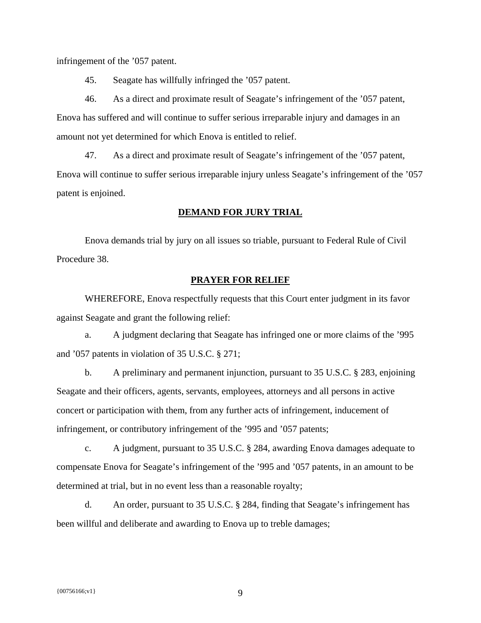infringement of the '057 patent.

45. Seagate has willfully infringed the '057 patent.

46. As a direct and proximate result of Seagate's infringement of the '057 patent, Enova has suffered and will continue to suffer serious irreparable injury and damages in an amount not yet determined for which Enova is entitled to relief.

47. As a direct and proximate result of Seagate's infringement of the '057 patent, Enova will continue to suffer serious irreparable injury unless Seagate's infringement of the '057 patent is enjoined.

## **DEMAND FOR JURY TRIAL**

Enova demands trial by jury on all issues so triable, pursuant to Federal Rule of Civil Procedure 38.

#### **PRAYER FOR RELIEF**

 WHEREFORE, Enova respectfully requests that this Court enter judgment in its favor against Seagate and grant the following relief:

a. A judgment declaring that Seagate has infringed one or more claims of the '995 and '057 patents in violation of 35 U.S.C. § 271;

b. A preliminary and permanent injunction, pursuant to 35 U.S.C. § 283, enjoining Seagate and their officers, agents, servants, employees, attorneys and all persons in active concert or participation with them, from any further acts of infringement, inducement of infringement, or contributory infringement of the '995 and '057 patents;

c. A judgment, pursuant to 35 U.S.C. § 284, awarding Enova damages adequate to compensate Enova for Seagate's infringement of the '995 and '057 patents, in an amount to be determined at trial, but in no event less than a reasonable royalty;

d. An order, pursuant to 35 U.S.C. § 284, finding that Seagate's infringement has been willful and deliberate and awarding to Enova up to treble damages;